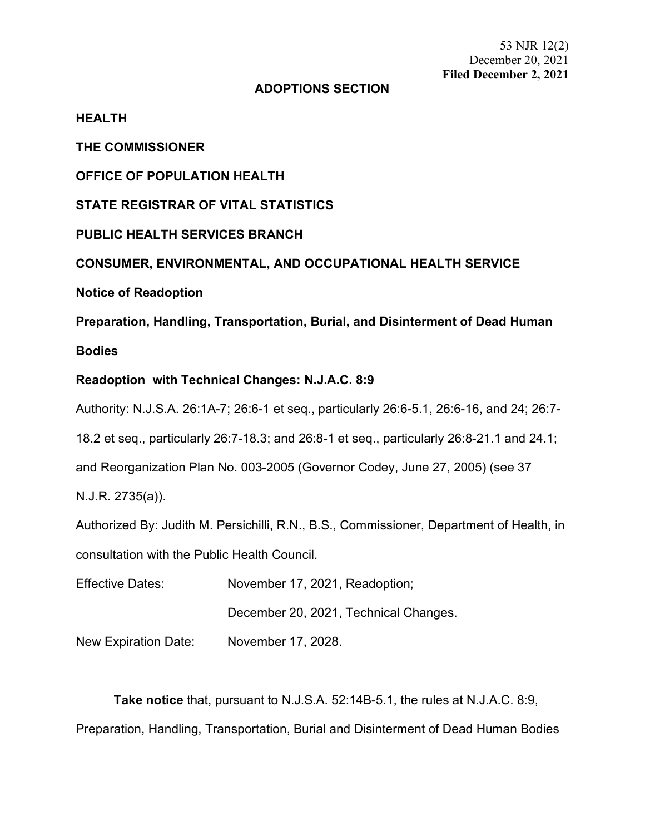53 NJR 12(2) December 20, 2021 **Filed December 2, 2021**

## **ADOPTIONS SECTION**

**HEALTH**

**THE COMMISSIONER**

**OFFICE OF POPULATION HEALTH**

**STATE REGISTRAR OF VITAL STATISTICS**

**PUBLIC HEALTH SERVICES BRANCH**

**CONSUMER, ENVIRONMENTAL, AND OCCUPATIONAL HEALTH SERVICE**

**Notice of Readoption**

**Preparation, Handling, Transportation, Burial, and Disinterment of Dead Human** 

### **Bodies**

## **Readoption with Technical Changes: N.J.A.C. 8:9**

Authority: N.J.S.A. 26:1A-7; 26:6-1 et seq., particularly 26:6-5.1, 26:6-16, and 24; 26:7-

18.2 et seq., particularly 26:7-18.3; and 26:8-1 et seq., particularly 26:8-21.1 and 24.1;

and Reorganization Plan No. 003-2005 (Governor Codey, June 27, 2005) (see 37

N.J.R. 2735(a)).

Authorized By: Judith M. Persichilli, R.N., B.S., Commissioner, Department of Health, in consultation with the Public Health Council.

Effective Dates: November 17, 2021, Readoption; December 20, 2021, Technical Changes.

New Expiration Date: November 17, 2028.

**Take notice** that, pursuant to N.J.S.A. 52:14B-5.1, the rules at N.J.A.C. 8:9, Preparation, Handling, Transportation, Burial and Disinterment of Dead Human Bodies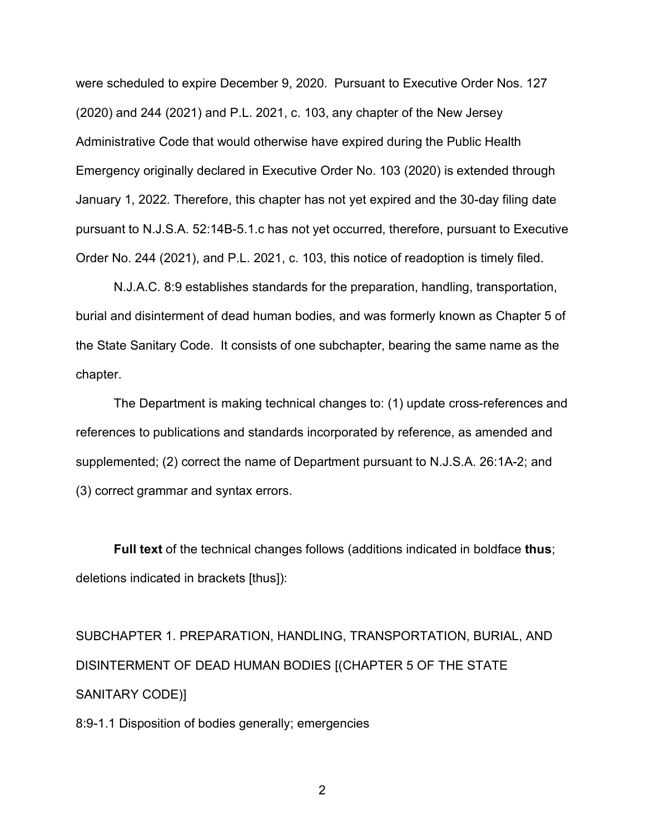were scheduled to expire December 9, 2020. Pursuant to Executive Order Nos. 127 (2020) and 244 (2021) and P.L. 2021, c. 103, any chapter of the New Jersey Administrative Code that would otherwise have expired during the Public Health Emergency originally declared in Executive Order No. 103 (2020) is extended through January 1, 2022. Therefore, this chapter has not yet expired and the 30-day filing date pursuant to N.J.S.A. 52:14B-5.1.c has not yet occurred, therefore, pursuant to Executive Order No. 244 (2021), and P.L. 2021, c. 103, this notice of readoption is timely filed.

N.J.A.C. 8:9 establishes standards for the preparation, handling, transportation, burial and disinterment of dead human bodies, and was formerly known as Chapter 5 of the State Sanitary Code. It consists of one subchapter, bearing the same name as the chapter.

The Department is making technical changes to: (1) update cross-references and references to publications and standards incorporated by reference, as amended and supplemented; (2) correct the name of Department pursuant to N.J.S.A. 26:1A-2; and (3) correct grammar and syntax errors.

**Full text** of the technical changes follows (additions indicated in boldface **thus**; deletions indicated in brackets [thus]):

SUBCHAPTER 1. PREPARATION, HANDLING, TRANSPORTATION, BURIAL, AND DISINTERMENT OF DEAD HUMAN BODIES [(CHAPTER 5 OF THE STATE SANITARY CODE)]

8:9-1.1 Disposition of bodies generally; emergencies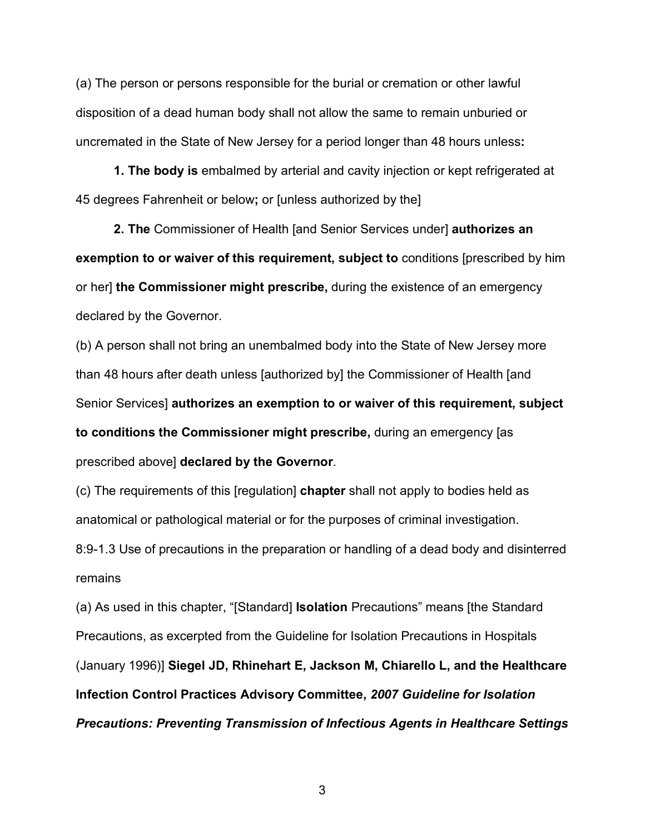(a) The person or persons responsible for the burial or cremation or other lawful disposition of a dead human body shall not allow the same to remain unburied or uncremated in the State of New Jersey for a period longer than 48 hours unless**:**

**1. The body is** embalmed by arterial and cavity injection or kept refrigerated at 45 degrees Fahrenheit or below**;** or [unless authorized by the]

**2. The** Commissioner of Health [and Senior Services under] **authorizes an exemption to or waiver of this requirement, subject to** conditions [prescribed by him or her] **the Commissioner might prescribe,** during the existence of an emergency declared by the Governor.

(b) A person shall not bring an unembalmed body into the State of New Jersey more than 48 hours after death unless [authorized by] the Commissioner of Health [and Senior Services] **authorizes an exemption to or waiver of this requirement, subject to conditions the Commissioner might prescribe,** during an emergency [as prescribed above] **declared by the Governor**.

(c) The requirements of this [regulation] **chapter** shall not apply to bodies held as anatomical or pathological material or for the purposes of criminal investigation. 8:9-1.3 Use of precautions in the preparation or handling of a dead body and disinterred remains

(a) As used in this chapter, "[Standard] **Isolation** Precautions" means [the Standard Precautions, as excerpted from the Guideline for Isolation Precautions in Hospitals (January 1996)] **Siegel JD, Rhinehart E, Jackson M, Chiarello L, and the Healthcare Infection Control Practices Advisory Committee,** *2007 Guideline for Isolation Precautions: Preventing Transmission of Infectious Agents in Healthcare Settings*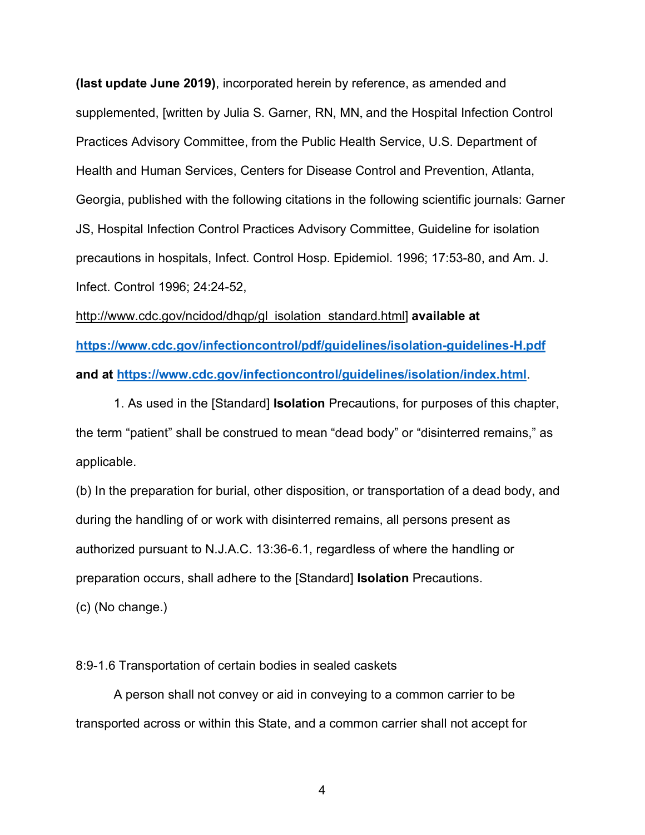**(last update June 2019)**, incorporated herein by reference, as amended and supplemented, [written by Julia S. Garner, RN, MN, and the Hospital Infection Control Practices Advisory Committee, from the Public Health Service, U.S. Department of Health and Human Services, Centers for Disease Control and Prevention, Atlanta, Georgia, published with the following citations in the following scientific journals: Garner JS, Hospital Infection Control Practices Advisory Committee, Guideline for isolation precautions in hospitals, Infect. Control Hosp. Epidemiol. 1996; 17:53-80, and Am. J. Infect. Control 1996; 24:24-52,

http://www.cdc.gov/ncidod/dhqp/gl\_isolation\_standard.html] **available at <https://www.cdc.gov/infectioncontrol/pdf/guidelines/isolation-guidelines-H.pdf> and at<https://www.cdc.gov/infectioncontrol/guidelines/isolation/index.html>**.

1. As used in the [Standard] **Isolation** Precautions, for purposes of this chapter, the term "patient" shall be construed to mean "dead body" or "disinterred remains," as applicable.

(b) In the preparation for burial, other disposition, or transportation of a dead body, and during the handling of or work with disinterred remains, all persons present as authorized pursuant to N.J.A.C. 13:36-6.1, regardless of where the handling or preparation occurs, shall adhere to the [Standard] **Isolation** Precautions.

(c) (No change.)

#### 8:9-1.6 Transportation of certain bodies in sealed caskets

A person shall not convey or aid in conveying to a common carrier to be transported across or within this State, and a common carrier shall not accept for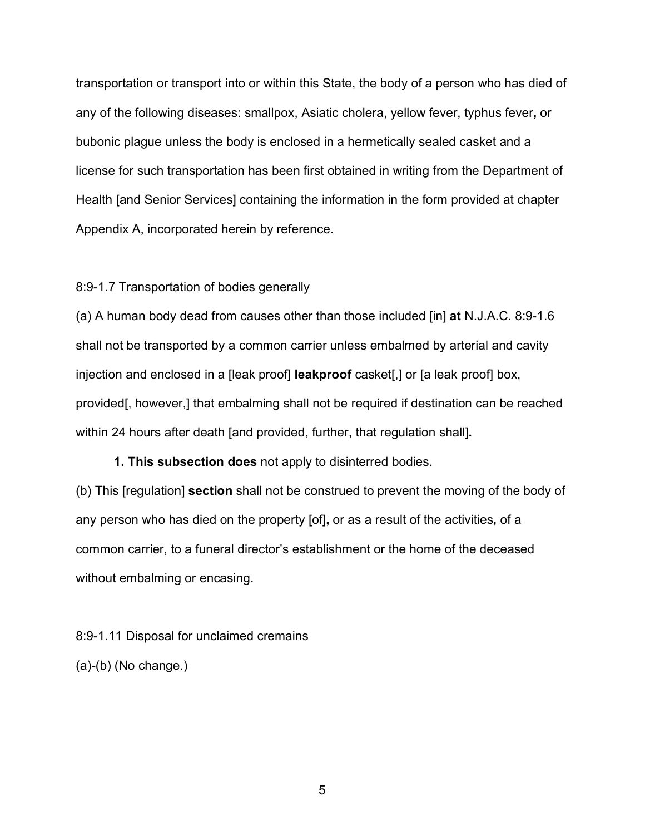transportation or transport into or within this State, the body of a person who has died of any of the following diseases: smallpox, Asiatic cholera, yellow fever, typhus fever**,** or bubonic plague unless the body is enclosed in a hermetically sealed casket and a license for such transportation has been first obtained in writing from the Department of Health [and Senior Services] containing the information in the form provided at chapter Appendix A, incorporated herein by reference.

#### 8:9-1.7 Transportation of bodies generally

(a) A human body dead from causes other than those included [in] **at** N.J.A.C. 8:9-1.6 shall not be transported by a common carrier unless embalmed by arterial and cavity injection and enclosed in a [leak proof] **leakproof** casket[,] or [a leak proof] box, provided[, however,] that embalming shall not be required if destination can be reached within 24 hours after death [and provided, further, that regulation shall]**.**

**1. This subsection does** not apply to disinterred bodies.

(b) This [regulation] **section** shall not be construed to prevent the moving of the body of any person who has died on the property [of]**,** or as a result of the activities**,** of a common carrier, to a funeral director's establishment or the home of the deceased without embalming or encasing.

8:9-1.11 Disposal for unclaimed cremains (a)-(b) (No change.)